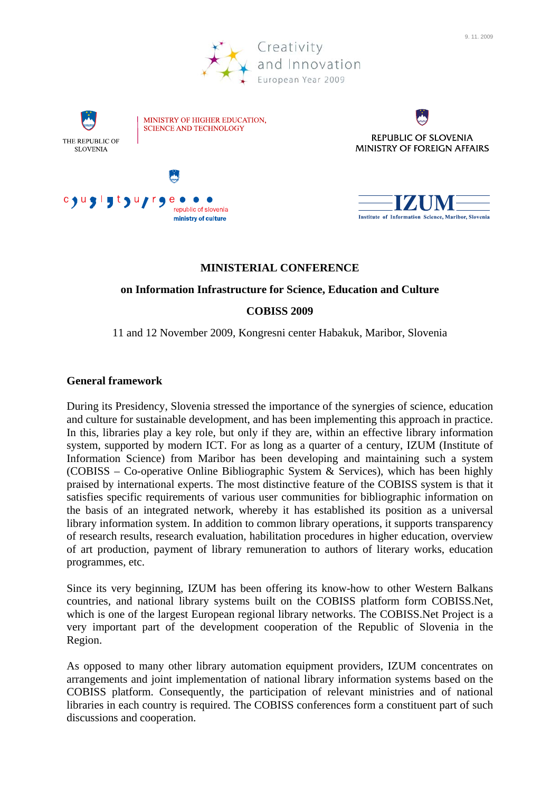

9. 11. 2009

Institute of Information Science, Maribor, Slovenia

# **MINISTERIAL CONFERENCE**

republic of slovenia

ministry of culture

### **on Information Infrastructure for Science, Education and Culture**

# **COBISS 2009**

11 and 12 November 2009, Kongresni center Habakuk, Maribor, Slovenia

# **General framework**

During its Presidency, Slovenia stressed the importance of the synergies of science, education and culture for sustainable development, and has been implementing this approach in practice. In this, libraries play a key role, but only if they are, within an effective library information system, supported by modern ICT. For as long as a quarter of a century, IZUM (Institute of Information Science) from Maribor has been developing and maintaining such a system (COBISS – Co-operative Online Bibliographic System & Services), which has been highly praised by international experts. The most distinctive feature of the COBISS system is that it satisfies specific requirements of various user communities for bibliographic information on the basis of an integrated network, whereby it has established its position as a universal library information system. In addition to common library operations, it supports transparency of research results, research evaluation, habilitation procedures in higher education, overview of art production, payment of library remuneration to authors of literary works, education programmes, etc.

Since its very beginning, IZUM has been offering its know-how to other Western Balkans countries, and national library systems built on the COBISS platform form COBISS.Net, which is one of the largest European regional library networks. The COBISS.Net Project is a very important part of the development cooperation of the Republic of Slovenia in the Region.

As opposed to many other library automation equipment providers, IZUM concentrates on arrangements and joint implementation of national library information systems based on the COBISS platform. Consequently, the participation of relevant ministries and of national libraries in each country is required. The COBISS conferences form a constituent part of such discussions and cooperation.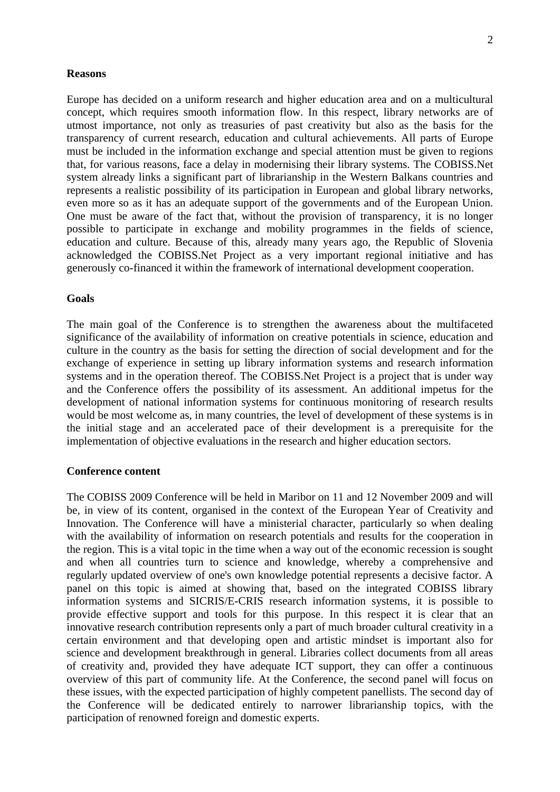#### **Reasons**

Europe has decided on a uniform research and higher education area and on a multicultural concept, which requires smooth information flow. In this respect, library networks are of utmost importance, not only as treasuries of past creativity but also as the basis for the transparency of current research, education and cultural achievements. All parts of Europe must be included in the information exchange and special attention must be given to regions that, for various reasons, face a delay in modernising their library systems. The COBISS.Net system already links a significant part of librarianship in the Western Balkans countries and represents a realistic possibility of its participation in European and global library networks, even more so as it has an adequate support of the governments and of the European Union. One must be aware of the fact that, without the provision of transparency, it is no longer possible to participate in exchange and mobility programmes in the fields of science, education and culture. Because of this, already many years ago, the Republic of Slovenia acknowledged the COBISS.Net Project as a very important regional initiative and has generously co-financed it within the framework of international development cooperation.

#### **Goals**

The main goal of the Conference is to strengthen the awareness about the multifaceted significance of the availability of information on creative potentials in science, education and culture in the country as the basis for setting the direction of social development and for the exchange of experience in setting up library information systems and research information systems and in the operation thereof. The COBISS.Net Project is a project that is under way and the Conference offers the possibility of its assessment. An additional impetus for the development of national information systems for continuous monitoring of research results would be most welcome as, in many countries, the level of development of these systems is in the initial stage and an accelerated pace of their development is a prerequisite for the implementation of objective evaluations in the research and higher education sectors.

#### **Conference content**

The COBISS 2009 Conference will be held in Maribor on 11 and 12 November 2009 and will be, in view of its content, organised in the context of the European Year of Creativity and Innovation. The Conference will have a ministerial character, particularly so when dealing with the availability of information on research potentials and results for the cooperation in the region. This is a vital topic in the time when a way out of the economic recession is sought and when all countries turn to science and knowledge, whereby a comprehensive and regularly updated overview of one's own knowledge potential represents a decisive factor. A panel on this topic is aimed at showing that, based on the integrated COBISS library information systems and SICRIS/E-CRIS research information systems, it is possible to provide effective support and tools for this purpose. In this respect it is clear that an innovative research contribution represents only a part of much broader cultural creativity in a certain environment and that developing open and artistic mindset is important also for science and development breakthrough in general. Libraries collect documents from all areas of creativity and, provided they have adequate ICT support, they can offer a continuous overview of this part of community life. At the Conference, the second panel will focus on these issues, with the expected participation of highly competent panellists. The second day of the Conference will be dedicated entirely to narrower librarianship topics, with the participation of renowned foreign and domestic experts.